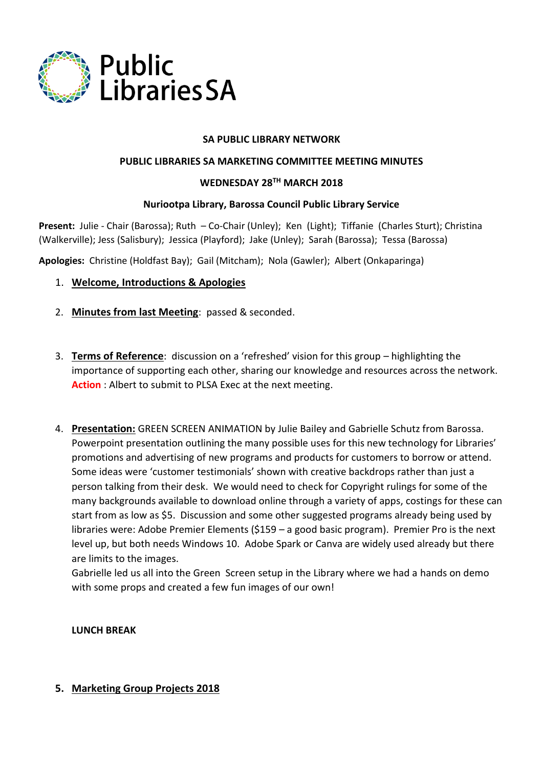

### **SA PUBLIC LIBRARY NETWORK**

### **PUBLIC LIBRARIES SA MARKETING COMMITTEE MEETING MINUTES**

### **WEDNESDAY 28TH MARCH 2018**

### **Nuriootpa Library, Barossa Council Public Library Service**

**Present:** Julie - Chair (Barossa); Ruth – Co-Chair (Unley); Ken (Light); Tiffanie (Charles Sturt); Christina (Walkerville); Jess (Salisbury); Jessica (Playford); Jake (Unley); Sarah (Barossa); Tessa (Barossa)

**Apologies:** Christine (Holdfast Bay); Gail (Mitcham); Nola (Gawler); Albert (Onkaparinga)

- 1. **Welcome, Introductions & Apologies**
- 2. **Minutes from last Meeting**: passed & seconded.
- 3. **Terms of Reference**: discussion on a 'refreshed' vision for this group highlighting the importance of supporting each other, sharing our knowledge and resources across the network. **Action** : Albert to submit to PLSA Exec at the next meeting.
- 4. **Presentation:** GREEN SCREEN ANIMATION by Julie Bailey and Gabrielle Schutz from Barossa. Powerpoint presentation outlining the many possible uses for this new technology for Libraries' promotions and advertising of new programs and products for customers to borrow or attend. Some ideas were 'customer testimonials' shown with creative backdrops rather than just a person talking from their desk. We would need to check for Copyright rulings for some of the many backgrounds available to download online through a variety of apps, costings for these can start from as low as \$5. Discussion and some other suggested programs already being used by libraries were: Adobe Premier Elements (\$159 – a good basic program). Premier Pro is the next level up, but both needs Windows 10. Adobe Spark or Canva are widely used already but there are limits to the images.

Gabrielle led us all into the Green Screen setup in the Library where we had a hands on demo with some props and created a few fun images of our own!

**LUNCH BREAK**

### **5. Marketing Group Projects 2018**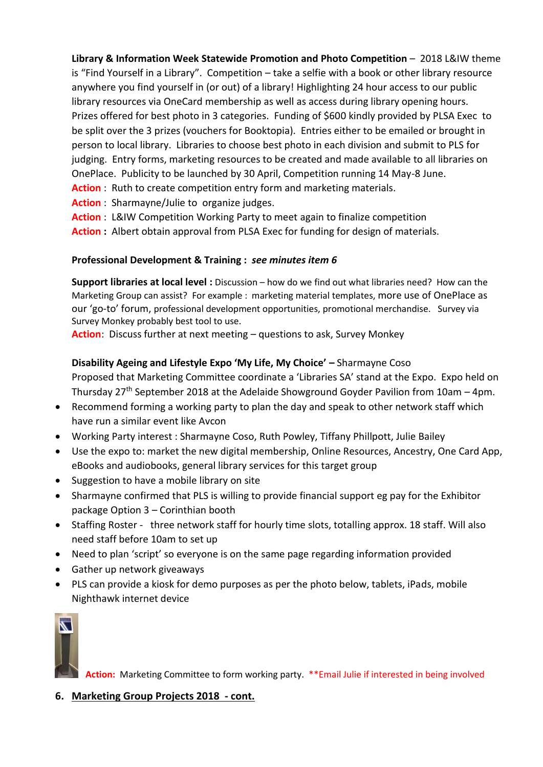**Library & Information Week Statewide Promotion and Photo Competition** – 2018 L&IW theme is "Find Yourself in a Library". Competition – take a selfie with a book or other library resource anywhere you find yourself in (or out) of a library! Highlighting 24 hour access to our public library resources via OneCard membership as well as access during library opening hours. Prizes offered for best photo in 3 categories. Funding of \$600 kindly provided by PLSA Exec to be split over the 3 prizes (vouchers for Booktopia). Entries either to be emailed or brought in person to local library. Libraries to choose best photo in each division and submit to PLS for judging. Entry forms, marketing resources to be created and made available to all libraries on OnePlace. Publicity to be launched by 30 April, Competition running 14 May-8 June. **Action** : Ruth to create competition entry form and marketing materials.

- **Action** : Sharmayne/Julie to organize judges.
- **Action** : L&IW Competition Working Party to meet again to finalize competition
- **Action :** Albert obtain approval from PLSA Exec for funding for design of materials.

# **Professional Development & Training :** *see minutes item 6*

**Support libraries at local level :** Discussion – how do we find out what libraries need? How can the Marketing Group can assist? For example : marketing material templates, more use of OnePlace as our 'go-to' forum, professional development opportunities, promotional merchandise. Survey via Survey Monkey probably best tool to use.

**Action**: Discuss further at next meeting – questions to ask, Survey Monkey

# **Disability Ageing and Lifestyle Expo 'My Life, My Choice' –** Sharmayne Coso

Proposed that Marketing Committee coordinate a 'Libraries SA' stand at the Expo. Expo held on Thursday  $27<sup>th</sup>$  September 2018 at the Adelaide Showground Goyder Pavilion from 10am – 4pm.

- Recommend forming a working party to plan the day and speak to other network staff which have run a similar event like Avcon
- Working Party interest : Sharmayne Coso, Ruth Powley, Tiffany Phillpott, Julie Bailey
- Use the expo to: market the new digital membership, Online Resources, Ancestry, One Card App, eBooks and audiobooks, general library services for this target group
- Suggestion to have a mobile library on site
- Sharmayne confirmed that PLS is willing to provide financial support eg pay for the Exhibitor package Option 3 – Corinthian booth
- Staffing Roster three network staff for hourly time slots, totalling approx. 18 staff. Will also need staff before 10am to set up
- Need to plan 'script' so everyone is on the same page regarding information provided
- Gather up network giveaways
- PLS can provide a kiosk for demo purposes as per the photo below, tablets, iPads, mobile Nighthawk internet device



**Action:** Marketing Committee to form working party. \*\*Email Julie if interested in being involved

# **6. Marketing Group Projects 2018 - cont.**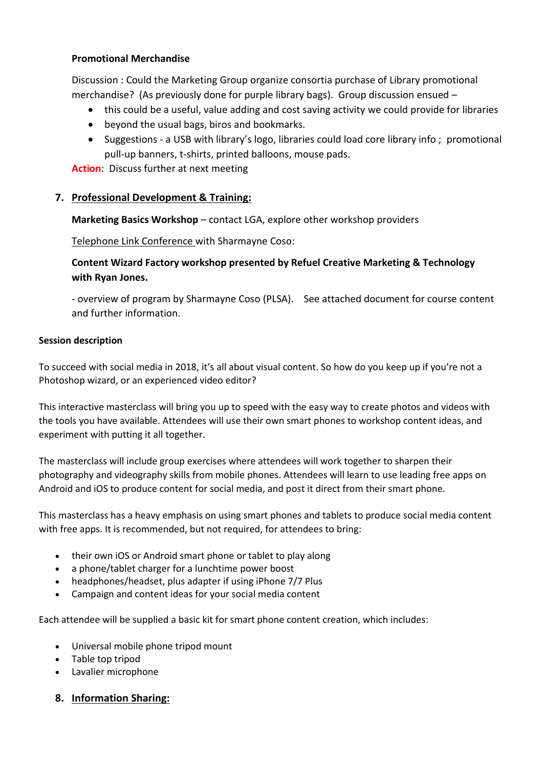## **Promotional Merchandise**

Discussion : Could the Marketing Group organize consortia purchase of Library promotional merchandise? (As previously done for purple library bags). Group discussion ensued –

- this could be a useful, value adding and cost saving activity we could provide for libraries
- beyond the usual bags, biros and bookmarks.
- Suggestions a USB with library's logo, libraries could load core library info ; promotional pull-up banners, t-shirts, printed balloons, mouse pads.

**Action**: Discuss further at next meeting

# **7. Professional Development & Training:**

**Marketing Basics Workshop** – contact LGA, explore other workshop providers

Telephone Link Conference with Sharmayne Coso:

# **Content Wizard Factory workshop presented by Refuel Creative Marketing & Technology with Ryan Jones.**

- overview of program by Sharmayne Coso (PLSA). See attached document for course content and further information.

### **Session description**

To succeed with social media in 2018, it's all about visual content. So how do you keep up if you're not a Photoshop wizard, or an experienced video editor?

This interactive masterclass will bring you up to speed with the easy way to create photos and videos with the tools you have available. Attendees will use their own smart phones to workshop content ideas, and experiment with putting it all together.

The masterclass will include group exercises where attendees will work together to sharpen their photography and videography skills from mobile phones. Attendees will learn to use leading free apps on Android and iOS to produce content for social media, and post it direct from their smart phone.

This masterclass has a heavy emphasis on using smart phones and tablets to produce social media content with free apps. It is recommended, but not required, for attendees to bring:

- their own iOS or Android smart phone or tablet to play along
- a phone/tablet charger for a lunchtime power boost
- headphones/headset, plus adapter if using iPhone 7/7 Plus
- Campaign and content ideas for your social media content

Each attendee will be supplied a basic kit for smart phone content creation, which includes:

- Universal mobile phone tripod mount
- Table top tripod
- Lavalier microphone

# **8. Information Sharing:**